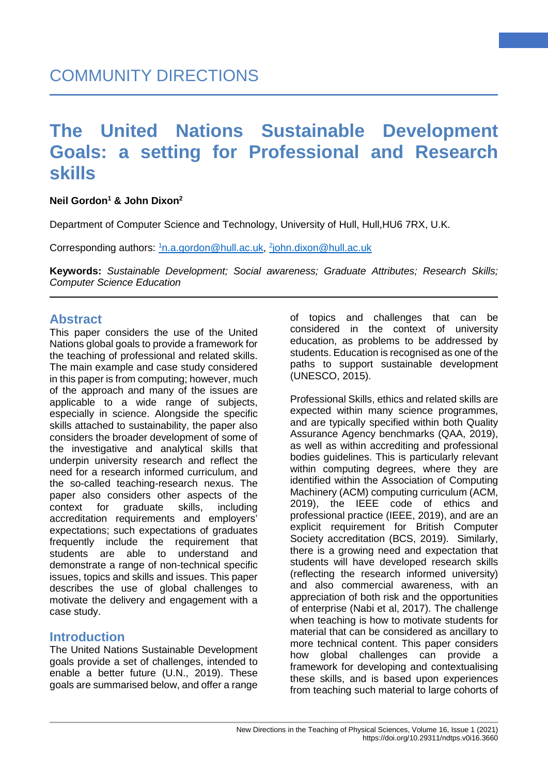### **Neil Gordon1 & John Dixon2**

Department of Computer Science and Technology, University of Hull, Hull, HU6 7RX, U.K.

Corresponding authors: <u><sup>1</sup>[n.a.gordon@hull.ac.uk,](mailto:1n.a.gordon@hull.ac.uk) <sup>2</sup>[john.dixon@hull.ac.uk](mailto:2john.dixon@hull.ac.uk)</u>

**Keywords:** *Sustainable Development; Social awareness; Graduate Attributes; Research Skills; Computer Science Education*

### **Abstract**

This paper considers the use of the United Nations global goals to provide a framework for the teaching of professional and related skills. The main example and case study considered in this paper is from computing; however, much of the approach and many of the issues are applicable to a wide range of subjects, especially in science. Alongside the specific skills attached to sustainability, the paper also considers the broader development of some of the investigative and analytical skills that underpin university research and reflect the need for a research informed curriculum, and the so-called teaching-research nexus. The paper also considers other aspects of the context for graduate skills, including accreditation requirements and employers' expectations; such expectations of graduates frequently include the requirement that students are able to understand and demonstrate a range of non-technical specific issues, topics and skills and issues. This paper describes the use of global challenges to motivate the delivery and engagement with a case study.

### **Introduction**

The United Nations Sustainable Development goals provide a set of challenges, intended to enable a better future (U.N., 2019). These goals are summarised below, and offer a range

of topics and challenges that can be considered in the context of university education, as problems to be addressed by students. Education is recognised as one of the paths to support sustainable development (UNESCO, 2015).

**1**

Professional Skills, ethics and related skills are expected within many science programmes. and are typically specified within both Quality Assurance Agency benchmarks (QAA, 2019), as well as within accrediting and professional bodies guidelines. This is particularly relevant within computing degrees, where they are identified within the Association of Computing Machinery (ACM) computing curriculum (ACM, 2019), the IEEE code of ethics and professional practice (IEEE, 2019), and are an explicit requirement for British Computer Society accreditation (BCS, 2019). Similarly, there is a growing need and expectation that students will have developed research skills (reflecting the research informed university) and also commercial awareness, with an appreciation of both risk and the opportunities of enterprise (Nabi et al, 2017). The challenge when teaching is how to motivate students for material that can be considered as ancillary to more technical content. This paper considers how global challenges can provide a framework for developing and contextualising these skills, and is based upon experiences from teaching such material to large cohorts of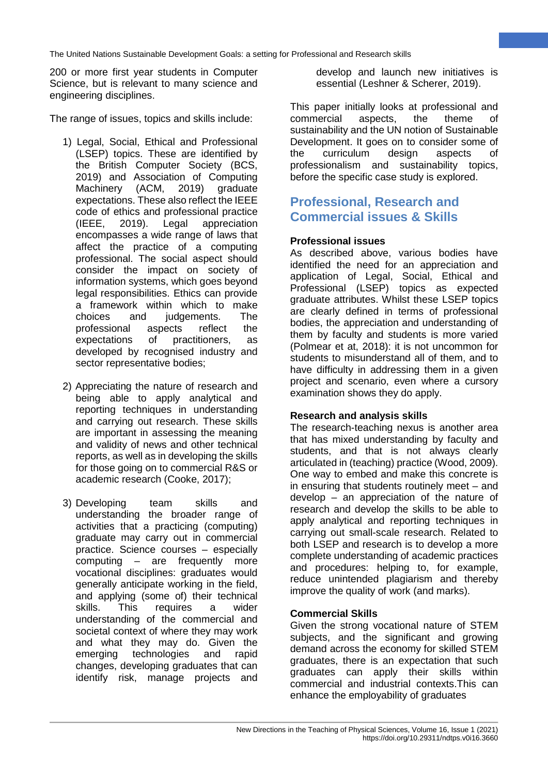200 or more first year students in Computer Science, but is relevant to many science and engineering disciplines.

The range of issues, topics and skills include:

- 1) Legal, Social, Ethical and Professional (LSEP) topics. These are identified by the British Computer Society (BCS, 2019) and Association of Computing Machinery (ACM, 2019) graduate expectations. These also reflect the IEEE code of ethics and professional practice (IEEE, 2019). Legal appreciation encompasses a wide range of laws that affect the practice of a computing professional. The social aspect should consider the impact on society of information systems, which goes beyond legal responsibilities. Ethics can provide a framework within which to make choices and judgements. The professional aspects reflect the expectations of practitioners, as developed by recognised industry and sector representative bodies;
- 2) Appreciating the nature of research and being able to apply analytical and reporting techniques in understanding and carrying out research. These skills are important in assessing the meaning and validity of news and other technical reports, as well as in developing the skills for those going on to commercial R&S or academic research (Cooke, 2017);
- 3) Developing team skills and understanding the broader range of activities that a practicing (computing) graduate may carry out in commercial practice. Science courses – especially computing – are frequently more vocational disciplines: graduates would generally anticipate working in the field, and applying (some of) their technical skills. This requires a wider understanding of the commercial and societal context of where they may work and what they may do. Given the emerging technologies and rapid changes, developing graduates that can identify risk, manage projects and

develop and launch new initiatives is essential (Leshner & Scherer, 2019).

**2**

This paper initially looks at professional and commercial aspects, the theme of sustainability and the UN notion of Sustainable Development. It goes on to consider some of<br>the curriculum design aspects of the curriculum design aspects of professionalism and sustainability topics, before the specific case study is explored.

# **Professional, Research and Commercial issues & Skills**

### **Professional issues**

As described above, various bodies have identified the need for an appreciation and application of Legal, Social, Ethical and Professional (LSEP) topics as expected graduate attributes. Whilst these LSEP topics are clearly defined in terms of professional bodies, the appreciation and understanding of them by faculty and students is more varied (Polmear et at, 2018): it is not uncommon for students to misunderstand all of them, and to have difficulty in addressing them in a given project and scenario, even where a cursory examination shows they do apply.

### **Research and analysis skills**

The research-teaching nexus is another area that has mixed understanding by faculty and students, and that is not always clearly articulated in (teaching) practice (Wood, 2009). One way to embed and make this concrete is in ensuring that students routinely meet – and develop – an appreciation of the nature of research and develop the skills to be able to apply analytical and reporting techniques in carrying out small-scale research. Related to both LSEP and research is to develop a more complete understanding of academic practices and procedures: helping to, for example, reduce unintended plagiarism and thereby improve the quality of work (and marks).

### **Commercial Skills**

Given the strong vocational nature of STEM subjects, and the significant and growing demand across the economy for skilled STEM graduates, there is an expectation that such graduates can apply their skills within commercial and industrial contexts.This can enhance the employability of graduates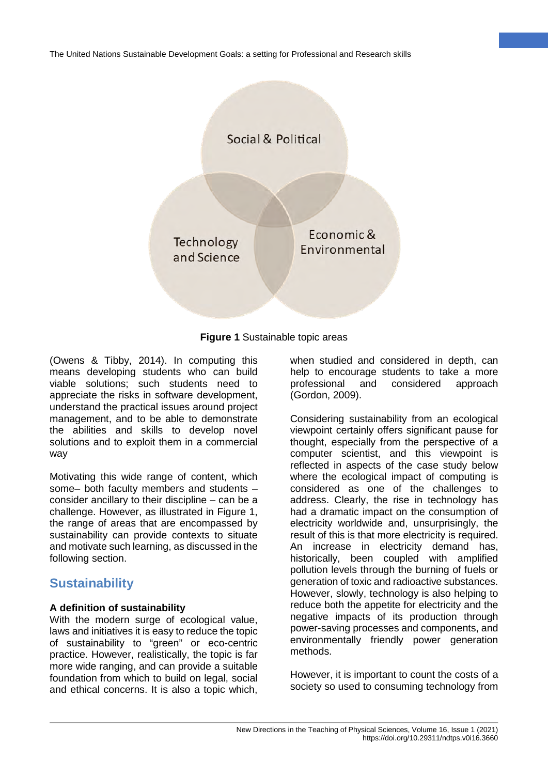



(Owens & Tibby, 2014). In computing this means developing students who can build viable solutions; such students need to appreciate the risks in software development, understand the practical issues around project management, and to be able to demonstrate the abilities and skills to develop novel solutions and to exploit them in a commercial way

Motivating this wide range of content, which some– both faculty members and students – consider ancillary to their discipline – can be a challenge. However, as illustrated in Figure 1, the range of areas that are encompassed by sustainability can provide contexts to situate and motivate such learning, as discussed in the following section.

## **Sustainability**

#### **A definition of sustainability**

With the modern surge of ecological value, laws and initiatives it is easy to reduce the topic of sustainability to "green" or eco-centric practice. However, realistically, the topic is far more wide ranging, and can provide a suitable foundation from which to build on legal, social and ethical concerns. It is also a topic which, when studied and considered in depth, can help to encourage students to take a more<br>professional and considered approach professional and considered approach (Gordon, 2009).

**3**

Considering sustainability from an ecological viewpoint certainly offers significant pause for thought, especially from the perspective of a computer scientist, and this viewpoint is reflected in aspects of the case study below where the ecological impact of computing is considered as one of the challenges to address. Clearly, the rise in technology has had a dramatic impact on the consumption of electricity worldwide and, unsurprisingly, the result of this is that more electricity is required. An increase in electricity demand has, historically, been coupled with amplified pollution levels through the burning of fuels or generation of toxic and radioactive substances. However, slowly, technology is also helping to reduce both the appetite for electricity and the negative impacts of its production through power-saving processes and components, and environmentally friendly power generation methods.

However, it is important to count the costs of a society so used to consuming technology from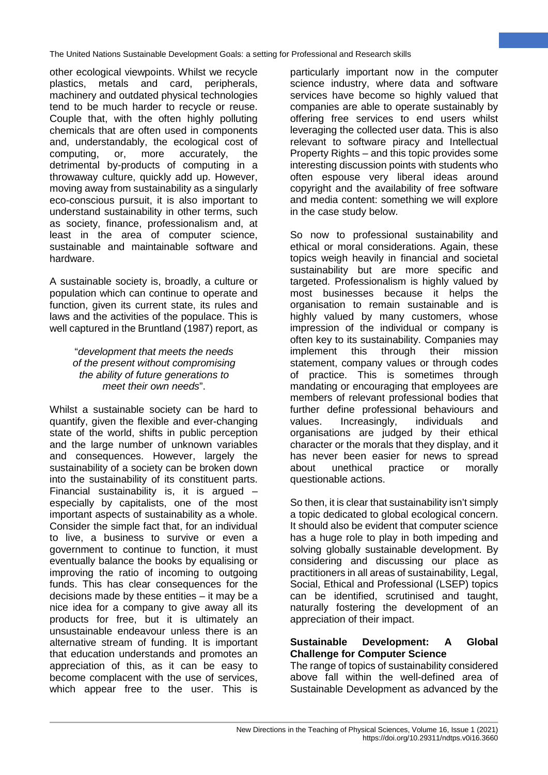other ecological viewpoints. Whilst we recycle plastics, metals and card, peripherals, machinery and outdated physical technologies tend to be much harder to recycle or reuse. Couple that, with the often highly polluting chemicals that are often used in components and, understandably, the ecological cost of computing, or, more accurately, the detrimental by-products of computing in a throwaway culture, quickly add up. However, moving away from sustainability as a singularly eco-conscious pursuit, it is also important to understand sustainability in other terms, such as society, finance, professionalism and, at least in the area of computer science, sustainable and maintainable software and hardware.

A sustainable society is, broadly, a culture or population which can continue to operate and function, given its current state, its rules and laws and the activities of the populace. This is well captured in the Bruntland (1987) report, as

#### "*development that meets the needs of the present without compromising the ability of future generations to meet their own needs*".

Whilst a sustainable society can be hard to quantify, given the flexible and ever-changing state of the world, shifts in public perception and the large number of unknown variables and consequences. However, largely the sustainability of a society can be broken down into the sustainability of its constituent parts. Financial sustainability is, it is argued – especially by capitalists, one of the most important aspects of sustainability as a whole. Consider the simple fact that, for an individual to live, a business to survive or even a government to continue to function, it must eventually balance the books by equalising or improving the ratio of incoming to outgoing funds. This has clear consequences for the decisions made by these entities – it may be a nice idea for a company to give away all its products for free, but it is ultimately an unsustainable endeavour unless there is an alternative stream of funding. It is important that education understands and promotes an appreciation of this, as it can be easy to become complacent with the use of services, which appear free to the user. This is

particularly important now in the computer science industry, where data and software services have become so highly valued that companies are able to operate sustainably by offering free services to end users whilst leveraging the collected user data. This is also relevant to software piracy and Intellectual Property Rights – and this topic provides some interesting discussion points with students who often espouse very liberal ideas around copyright and the availability of free software and media content: something we will explore in the case study below.

**4**

So now to professional sustainability and ethical or moral considerations. Again, these topics weigh heavily in financial and societal sustainability but are more specific and targeted. Professionalism is highly valued by most businesses because it helps the organisation to remain sustainable and is highly valued by many customers, whose impression of the individual or company is often key to its sustainability. Companies may implement this through their mission statement, company values or through codes of practice. This is sometimes through mandating or encouraging that employees are members of relevant professional bodies that further define professional behaviours and values. Increasingly, individuals and organisations are judged by their ethical character or the morals that they display, and it has never been easier for news to spread about unethical practice or morally questionable actions.

So then, it is clear that sustainability isn't simply a topic dedicated to global ecological concern. It should also be evident that computer science has a huge role to play in both impeding and solving globally sustainable development. By considering and discussing our place as practitioners in all areas of sustainability, Legal, Social, Ethical and Professional (LSEP) topics can be identified, scrutinised and taught, naturally fostering the development of an appreciation of their impact.

### **Sustainable Development: A Global Challenge for Computer Science**

The range of topics of sustainability considered above fall within the well-defined area of Sustainable Development as advanced by the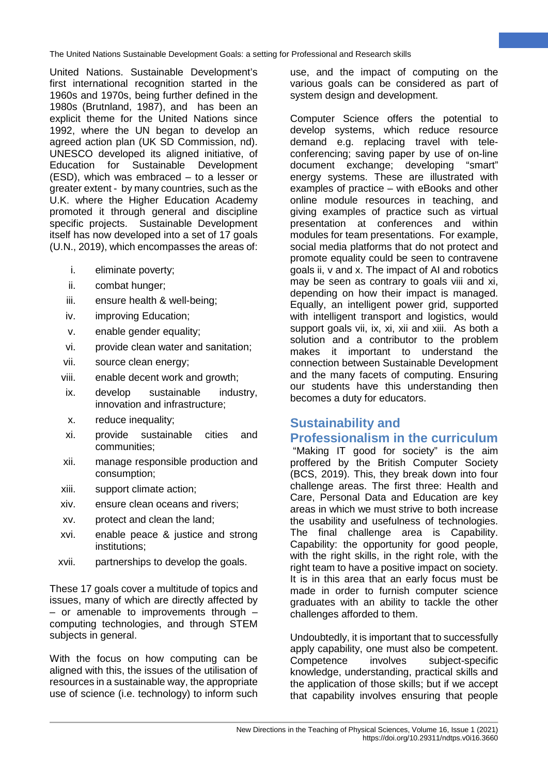United Nations. Sustainable Development's first international recognition started in the 1960s and 1970s, being further defined in the 1980s (Brutnland, 1987), and has been an explicit theme for the United Nations since 1992, where the UN began to develop an agreed action plan (UK SD Commission, nd). UNESCO developed its aligned initiative, of Education for Sustainable Development (ESD), which was embraced – to a lesser or greater extent - by many countries, such as the U.K. where the Higher Education Academy promoted it through general and discipline specific projects. Sustainable Development itself has now developed into a set of 17 goals (U.N., 2019), which encompasses the areas of:

- i. eliminate poverty;
- ii. combat hunger;
- iii. ensure health & well-being;
- iv. improving Education;
- v. enable gender equality;
- vi. provide clean water and sanitation;
- vii. source clean energy;
- viii. enable decent work and growth;
- ix. develop sustainable industry, innovation and infrastructure;
- x. reduce inequality;
- xi. provide sustainable cities and communities;
- xii. manage responsible production and consumption;
- xiii. support climate action;
- xiv. ensure clean oceans and rivers;
- xv. protect and clean the land;
- xvi. enable peace & justice and strong institutions;
- xvii. partnerships to develop the goals.

These 17 goals cover a multitude of topics and issues, many of which are directly affected by  $-$  or amenable to improvements through  $$ computing technologies, and through STEM subjects in general.

With the focus on how computing can be aligned with this, the issues of the utilisation of resources in a sustainable way, the appropriate use of science (i.e. technology) to inform such use, and the impact of computing on the various goals can be considered as part of system design and development.

**5**

Computer Science offers the potential to develop systems, which reduce resource demand e.g. replacing travel with teleconferencing; saving paper by use of on-line document exchange; developing "smart" energy systems. These are illustrated with examples of practice – with eBooks and other online module resources in teaching, and giving examples of practice such as virtual presentation at conferences and within modules for team presentations. For example, social media platforms that do not protect and promote equality could be seen to contravene goals ii, v and x. The impact of AI and robotics may be seen as contrary to goals viii and xi, depending on how their impact is managed. Equally, an intelligent power grid, supported with intelligent transport and logistics, would support goals vii, ix, xi, xii and xiii. As both a solution and a contributor to the problem makes it important to understand the connection between Sustainable Development and the many facets of computing. Ensuring our students have this understanding then becomes a duty for educators.

# **Sustainability and Professionalism in the curriculum**

"Making IT good for society" is the aim proffered by the British Computer Society (BCS, 2019). This, they break down into four challenge areas. The first three: Health and Care, Personal Data and Education are key areas in which we must strive to both increase the usability and usefulness of technologies. The final challenge area is Capability. Capability: the opportunity for good people, with the right skills, in the right role, with the right team to have a positive impact on society. It is in this area that an early focus must be made in order to furnish computer science graduates with an ability to tackle the other challenges afforded to them.

Undoubtedly, it is important that to successfully apply capability, one must also be competent. Competence involves subject-specific knowledge, understanding, practical skills and the application of those skills; but if we accept that capability involves ensuring that people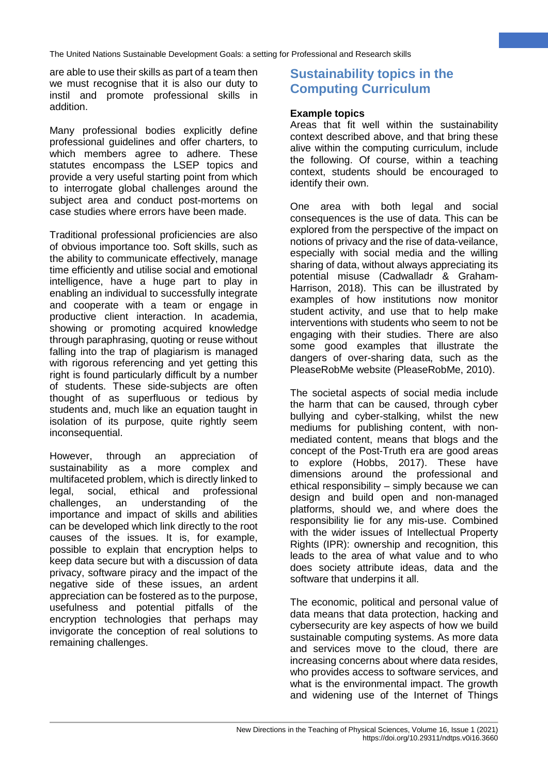are able to use their skills as part of a team then we must recognise that it is also our duty to instil and promote professional skills in addition.

Many professional bodies explicitly define professional guidelines and offer charters, to which members agree to adhere. These statutes encompass the LSEP topics and provide a very useful starting point from which to interrogate global challenges around the subject area and conduct post-mortems on case studies where errors have been made.

Traditional professional proficiencies are also of obvious importance too. Soft skills, such as the ability to communicate effectively, manage time efficiently and utilise social and emotional intelligence, have a huge part to play in enabling an individual to successfully integrate and cooperate with a team or engage in productive client interaction. In academia, showing or promoting acquired knowledge through paraphrasing, quoting or reuse without falling into the trap of plagiarism is managed with rigorous referencing and yet getting this right is found particularly difficult by a number of students. These side-subjects are often thought of as superfluous or tedious by students and, much like an equation taught in isolation of its purpose, quite rightly seem inconsequential.

However, through an appreciation of sustainability as a more complex and multifaceted problem, which is directly linked to legal, social, ethical and professional challenges, an understanding of the importance and impact of skills and abilities can be developed which link directly to the root causes of the issues. It is, for example, possible to explain that encryption helps to keep data secure but with a discussion of data privacy, software piracy and the impact of the negative side of these issues, an ardent appreciation can be fostered as to the purpose, usefulness and potential pitfalls of the encryption technologies that perhaps may invigorate the conception of real solutions to remaining challenges.

# **Sustainability topics in the Computing Curriculum**

#### **Example topics**

Areas that fit well within the sustainability context described above, and that bring these alive within the computing curriculum, include the following. Of course, within a teaching context, students should be encouraged to identify their own.

**6**

One area with both legal and social consequences is the use of data. This can be explored from the perspective of the impact on notions of privacy and the rise of data-veilance, especially with social media and the willing sharing of data, without always appreciating its potential misuse (Cadwalladr & Graham-Harrison, 2018). This can be illustrated by examples of how institutions now monitor student activity, and use that to help make interventions with students who seem to not be engaging with their studies. There are also some good examples that illustrate the dangers of over-sharing data, such as the PleaseRobMe website (PleaseRobMe, 2010).

The societal aspects of social media include the harm that can be caused, through cyber bullying and cyber-stalking, whilst the new mediums for publishing content, with nonmediated content, means that blogs and the concept of the Post-Truth era are good areas to explore (Hobbs, 2017). These have dimensions around the professional and ethical responsibility – simply because we can design and build open and non-managed platforms, should we, and where does the responsibility lie for any mis-use. Combined with the wider issues of Intellectual Property Rights (IPR): ownership and recognition, this leads to the area of what value and to who does society attribute ideas, data and the software that underpins it all.

The economic, political and personal value of data means that data protection, hacking and cybersecurity are key aspects of how we build sustainable computing systems. As more data and services move to the cloud, there are increasing concerns about where data resides, who provides access to software services, and what is the environmental impact. The growth and widening use of the Internet of Things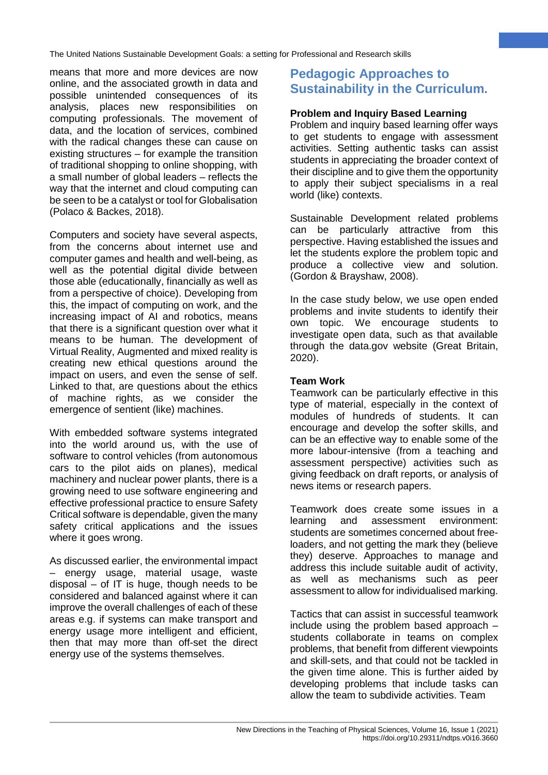means that more and more devices are now online, and the associated growth in data and possible unintended consequences of its analysis, places new responsibilities on computing professionals. The movement of data, and the location of services, combined with the radical changes these can cause on existing structures – for example the transition of traditional shopping to online shopping, with a small number of global leaders – reflects the way that the internet and cloud computing can be seen to be a catalyst or tool for Globalisation (Polaco & Backes, 2018).

Computers and society have several aspects, from the concerns about internet use and computer games and health and well-being, as well as the potential digital divide between those able (educationally, financially as well as from a perspective of choice). Developing from this, the impact of computing on work, and the increasing impact of AI and robotics, means that there is a significant question over what it means to be human. The development of Virtual Reality, Augmented and mixed reality is creating new ethical questions around the impact on users, and even the sense of self. Linked to that, are questions about the ethics of machine rights, as we consider the emergence of sentient (like) machines.

With embedded software systems integrated into the world around us, with the use of software to control vehicles (from autonomous cars to the pilot aids on planes), medical machinery and nuclear power plants, there is a growing need to use software engineering and effective professional practice to ensure Safety Critical software is dependable, given the many safety critical applications and the issues where it goes wrong.

As discussed earlier, the environmental impact – energy usage, material usage, waste disposal – of IT is huge, though needs to be considered and balanced against where it can improve the overall challenges of each of these areas e.g. if systems can make transport and energy usage more intelligent and efficient, then that may more than off-set the direct energy use of the systems themselves.

# **Pedagogic Approaches to Sustainability in the Curriculum.**

**7**

### **Problem and Inquiry Based Learning**

Problem and inquiry based learning offer ways to get students to engage with assessment activities. Setting authentic tasks can assist students in appreciating the broader context of their discipline and to give them the opportunity to apply their subject specialisms in a real world (like) contexts.

Sustainable Development related problems can be particularly attractive from this perspective. Having established the issues and let the students explore the problem topic and produce a collective view and solution. (Gordon & Brayshaw, 2008).

In the case study below, we use open ended problems and invite students to identify their own topic. We encourage students to investigate open data, such as that available through the data.gov website (Great Britain, 2020).

### **Team Work**

Teamwork can be particularly effective in this type of material, especially in the context of modules of hundreds of students. It can encourage and develop the softer skills, and can be an effective way to enable some of the more labour-intensive (from a teaching and assessment perspective) activities such as giving feedback on draft reports, or analysis of news items or research papers.

Teamwork does create some issues in a learning and assessment environment: students are sometimes concerned about freeloaders, and not getting the mark they (believe they) deserve. Approaches to manage and address this include suitable audit of activity, as well as mechanisms such as peer assessment to allow for individualised marking.

Tactics that can assist in successful teamwork include using the problem based approach – students collaborate in teams on complex problems, that benefit from different viewpoints and skill-sets, and that could not be tackled in the given time alone. This is further aided by developing problems that include tasks can allow the team to subdivide activities. Team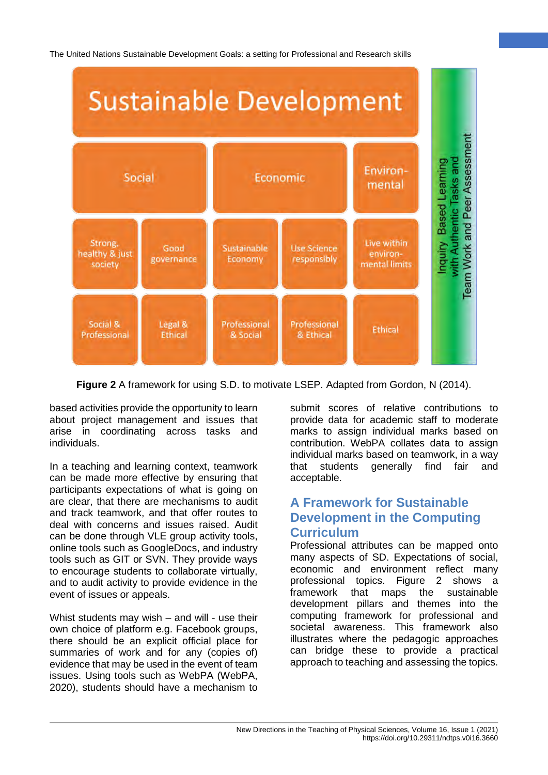

**Figure 2** A framework for using S.D. to motivate LSEP. Adapted from Gordon, N (2014).

based activities provide the opportunity to learn about project management and issues that arise in coordinating across tasks and individuals.

In a teaching and learning context, teamwork can be made more effective by ensuring that participants expectations of what is going on are clear, that there are mechanisms to audit and track teamwork, and that offer routes to deal with concerns and issues raised. Audit can be done through VLE group activity tools, online tools such as GoogleDocs, and industry tools such as GIT or SVN. They provide ways to encourage students to collaborate virtually, and to audit activity to provide evidence in the event of issues or appeals.

Whist students may wish – and will - use their own choice of platform e.g. Facebook groups, there should be an explicit official place for summaries of work and for any (copies of) evidence that may be used in the event of team issues. Using tools such as WebPA (WebPA, 2020), students should have a mechanism to

submit scores of relative contributions to provide data for academic staff to moderate marks to assign individual marks based on contribution. WebPA collates data to assign individual marks based on teamwork, in a way that students generally find fair and acceptable.

**8**

## **A Framework for Sustainable Development in the Computing Curriculum**

Professional attributes can be mapped onto many aspects of SD. Expectations of social, economic and environment reflect many professional topics. Figure 2 shows a framework that maps the sustainable development pillars and themes into the computing framework for professional and societal awareness. This framework also illustrates where the pedagogic approaches can bridge these to provide a practical approach to teaching and assessing the topics.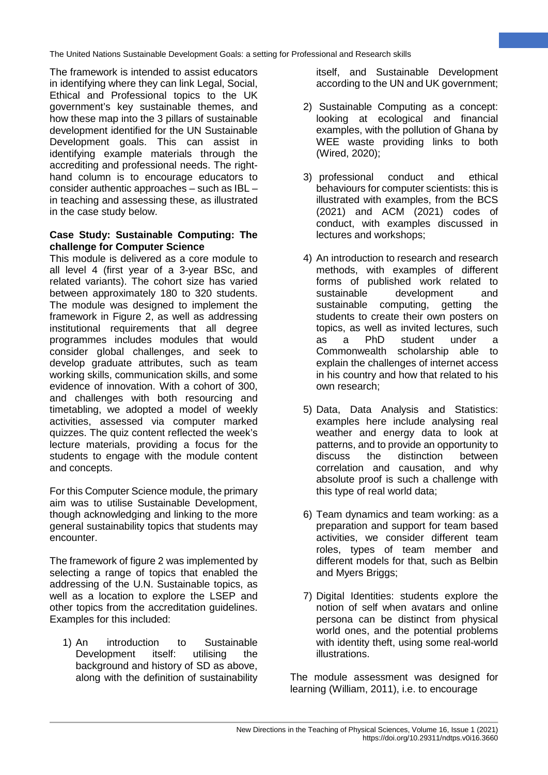The framework is intended to assist educators in identifying where they can link Legal, Social, Ethical and Professional topics to the UK government's key sustainable themes, and how these map into the 3 pillars of sustainable development identified for the UN Sustainable Development goals. This can assist in identifying example materials through the accrediting and professional needs. The righthand column is to encourage educators to consider authentic approaches – such as IBL – in teaching and assessing these, as illustrated in the case study below.

#### **Case Study: Sustainable Computing: The challenge for Computer Science**

This module is delivered as a core module to all level 4 (first year of a 3-year BSc, and related variants). The cohort size has varied between approximately 180 to 320 students. The module was designed to implement the framework in Figure 2, as well as addressing institutional requirements that all degree programmes includes modules that would consider global challenges, and seek to develop graduate attributes, such as team working skills, communication skills, and some evidence of innovation. With a cohort of 300, and challenges with both resourcing and timetabling, we adopted a model of weekly activities, assessed via computer marked quizzes. The quiz content reflected the week's lecture materials, providing a focus for the students to engage with the module content and concepts.

For this Computer Science module, the primary aim was to utilise Sustainable Development, though acknowledging and linking to the more general sustainability topics that students may encounter.

The framework of figure 2 was implemented by selecting a range of topics that enabled the addressing of the U.N. Sustainable topics, as well as a location to explore the LSEP and other topics from the accreditation guidelines. Examples for this included:

1) An introduction to Sustainable Development itself: utilising the background and history of SD as above, along with the definition of sustainability

itself, and Sustainable Development according to the UN and UK government; **9**

- 2) Sustainable Computing as a concept: looking at ecological and financial examples, with the pollution of Ghana by WEE waste providing links to both (Wired, 2020);
- 3) professional conduct and ethical behaviours for computer scientists: this is illustrated with examples, from the BCS (2021) and ACM (2021) codes of conduct, with examples discussed in lectures and workshops;
- 4) An introduction to research and research methods, with examples of different forms of published work related to sustainable development and sustainable computing, getting the students to create their own posters on topics, as well as invited lectures, such<br>as a PhD student under a a PhD student under a Commonwealth scholarship able to explain the challenges of internet access in his country and how that related to his own research;
- 5) Data, Data Analysis and Statistics: examples here include analysing real weather and energy data to look at patterns, and to provide an opportunity to discuss the distinction between correlation and causation, and why absolute proof is such a challenge with this type of real world data;
- 6) Team dynamics and team working: as a preparation and support for team based activities, we consider different team roles, types of team member and different models for that, such as Belbin and Myers Briggs;
- 7) Digital Identities: students explore the notion of self when avatars and online persona can be distinct from physical world ones, and the potential problems with identity theft, using some real-world illustrations.

The module assessment was designed for learning (William, 2011), i.e. to encourage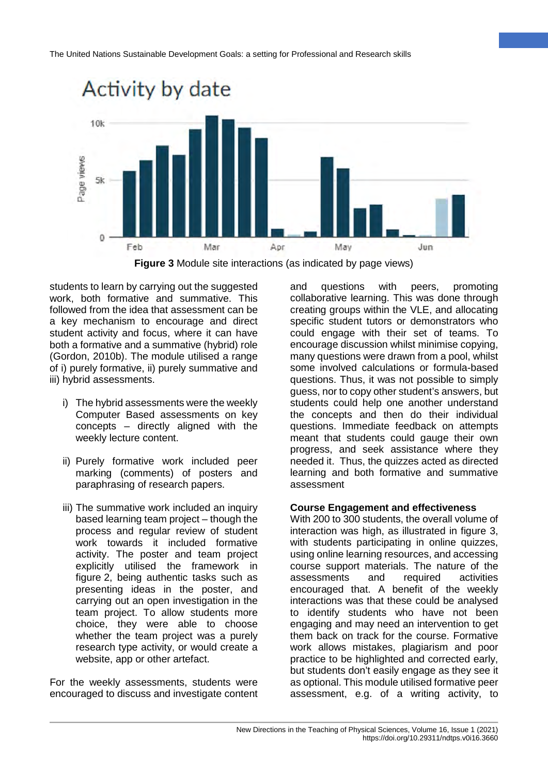



students to learn by carrying out the suggested work, both formative and summative. This followed from the idea that assessment can be a key mechanism to encourage and direct student activity and focus, where it can have both a formative and a summative (hybrid) role (Gordon, 2010b). The module utilised a range of i) purely formative, ii) purely summative and iii) hybrid assessments.

- i) The hybrid assessments were the weekly Computer Based assessments on key concepts – directly aligned with the weekly lecture content.
- ii) Purely formative work included peer marking (comments) of posters and paraphrasing of research papers.
- iii) The summative work included an inquiry based learning team project – though the process and regular review of student work towards it included formative activity. The poster and team project explicitly utilised the framework in figure 2, being authentic tasks such as presenting ideas in the poster, and carrying out an open investigation in the team project. To allow students more choice, they were able to choose whether the team project was a purely research type activity, or would create a website, app or other artefact.

For the weekly assessments, students were encouraged to discuss and investigate content

and questions with peers, promoting collaborative learning. This was done through creating groups within the VLE, and allocating specific student tutors or demonstrators who could engage with their set of teams. To encourage discussion whilst minimise copying, many questions were drawn from a pool, whilst some involved calculations or formula-based questions. Thus, it was not possible to simply guess, nor to copy other student's answers, but students could help one another understand the concepts and then do their individual questions. Immediate feedback on attempts meant that students could gauge their own progress, and seek assistance where they needed it. Thus, the quizzes acted as directed learning and both formative and summative assessment

**10**

#### **Course Engagement and effectiveness**

With 200 to 300 students, the overall volume of interaction was high, as illustrated in figure 3. with students participating in online quizzes, using online learning resources, and accessing course support materials. The nature of the assessments and required activities encouraged that. A benefit of the weekly interactions was that these could be analysed to identify students who have not been engaging and may need an intervention to get them back on track for the course. Formative work allows mistakes, plagiarism and poor practice to be highlighted and corrected early, but students don't easily engage as they see it as optional. This module utilised formative peer assessment, e.g. of a writing activity, to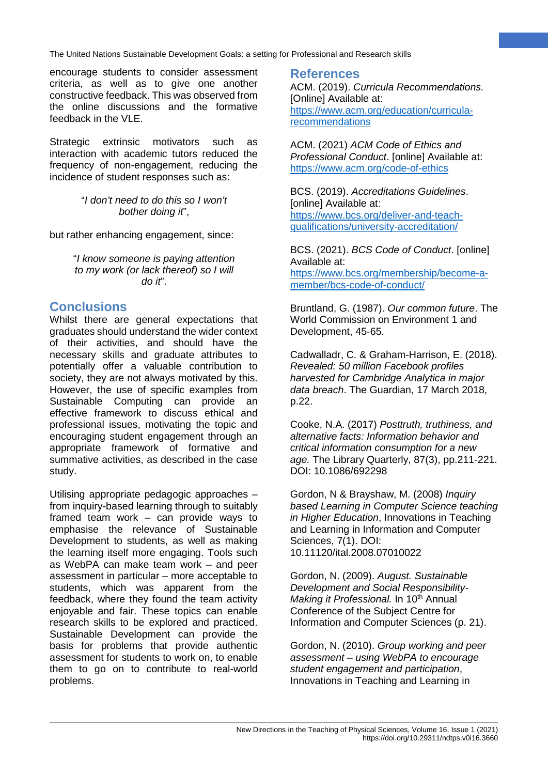encourage students to consider assessment criteria, as well as to give one another constructive feedback. This was observed from the online discussions and the formative feedback in the VLE.

Strategic extrinsic motivators such as interaction with academic tutors reduced the frequency of non-engagement, reducing the incidence of student responses such as:

> "*I don't need to do this so I won't bother doing it*",

but rather enhancing engagement, since:

"*I know someone is paying attention to my work (or lack thereof) so I will do it*".

### **Conclusions**

Whilst there are general expectations that graduates should understand the wider context of their activities, and should have the necessary skills and graduate attributes to potentially offer a valuable contribution to society, they are not always motivated by this. However, the use of specific examples from Sustainable Computing can provide an effective framework to discuss ethical and professional issues, motivating the topic and encouraging student engagement through an appropriate framework of formative and summative activities, as described in the case study.

Utilising appropriate pedagogic approaches – from inquiry-based learning through to suitably framed team work – can provide ways to emphasise the relevance of Sustainable Development to students, as well as making the learning itself more engaging. Tools such as WebPA can make team work – and peer assessment in particular – more acceptable to students, which was apparent from the feedback, where they found the team activity enjoyable and fair. These topics can enable research skills to be explored and practiced. Sustainable Development can provide the basis for problems that provide authentic assessment for students to work on, to enable them to go on to contribute to real-world problems.

### **References**

ACM. (2019). *Curricula Recommendations.* [Online] Available at: [https://www.acm.org/education/curricula](https://www.acm.org/education/curricula-recommendations)[recommendations](https://www.acm.org/education/curricula-recommendations) 

**11**

ACM. (2021) *ACM Code of Ethics and Professional Conduct*. [online] Available at: <https://www.acm.org/code-of-ethics>

BCS. (2019). *Accreditations Guidelines*. [online] Available at: [https://www.bcs.org/deliver-and-teach](https://www.bcs.org/deliver-and-teach-qualifications/university-accreditation/)[qualifications/university-accreditation/](https://www.bcs.org/deliver-and-teach-qualifications/university-accreditation/) 

BCS. (2021). *BCS Code of Conduct*. [online] Available at: [https://www.bcs.org/membership/become-a](https://www.bcs.org/membership/become-a-member/bcs-code-of-conduct/)[member/bcs-code-of-conduct/](https://www.bcs.org/membership/become-a-member/bcs-code-of-conduct/) 

Bruntland, G. (1987). *Our common future*. The World Commission on Environment 1 and Development, 45-65.

Cadwalladr, C. & Graham-Harrison, E. (2018). *Revealed: 50 million Facebook profiles harvested for Cambridge Analytica in major data breach*. The Guardian, 17 March 2018, p.22.

Cooke, N.A. (2017) *Posttruth, truthiness, and alternative facts: Information behavior and critical information consumption for a new age.* The Library Quarterly, 87(3), pp.211-221. DOI: 10.1086/692298

Gordon, N & Brayshaw, M. (2008) *Inquiry based Learning in Computer Science teaching in Higher Education*, Innovations in Teaching and Learning in Information and Computer Sciences, 7(1). DOI: 10.11120/ital.2008.07010022

Gordon, N. (2009). *August. Sustainable Development and Social Responsibility-Making it Professional.* In 10<sup>th</sup> Annual Conference of the Subject Centre for Information and Computer Sciences (p. 21).

Gordon, N. (2010). *Group working and peer assessment – using WebPA to encourage student engagement and participation*, Innovations in Teaching and Learning in